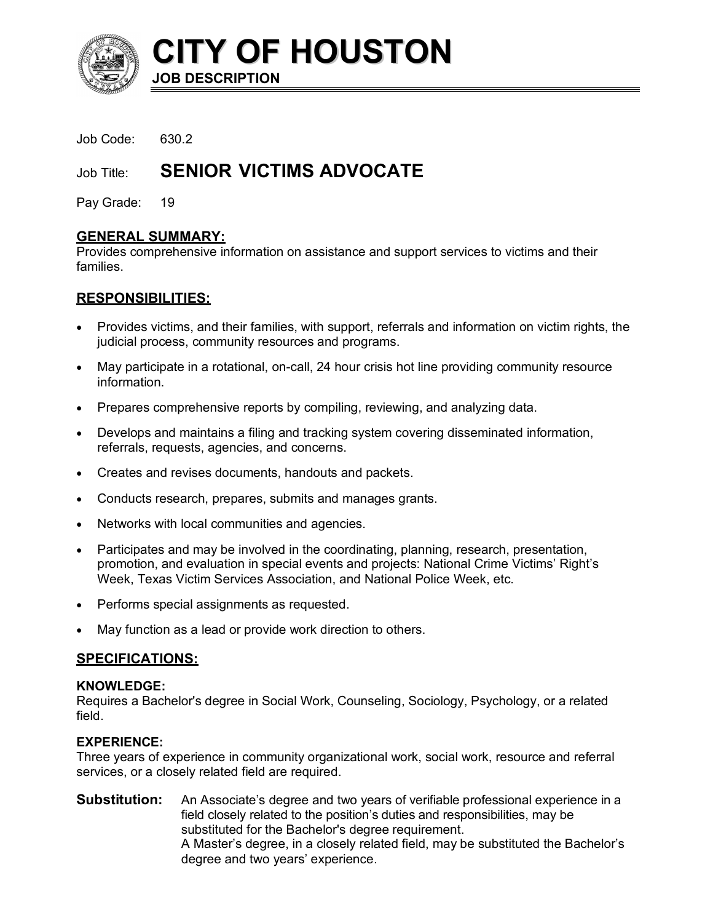

Job Code: 630.2

# Job Title: **SENIOR VICTIMS ADVOCATE**

Pay Grade: 19

# **GENERAL SUMMARY:**

Provides comprehensive information on assistance and support services to victims and their families.

# **RESPONSIBILITIES:**

- Provides victims, and their families, with support, referrals and information on victim rights, the judicial process, community resources and programs.
- May participate in a rotational, on-call, 24 hour crisis hot line providing community resource information.
- Prepares comprehensive reports by compiling, reviewing, and analyzing data.
- Develops and maintains a filing and tracking system covering disseminated information, referrals, requests, agencies, and concerns.
- Creates and revises documents, handouts and packets.
- Conducts research, prepares, submits and manages grants.
- Networks with local communities and agencies.
- Participates and may be involved in the coordinating, planning, research, presentation, promotion, and evaluation in special events and projects: National Crime Victims' Right's Week, Texas Victim Services Association, and National Police Week, etc.
- Performs special assignments as requested.
- May function as a lead or provide work direction to others.

# **SPECIFICATIONS:**

# **KNOWLEDGE:**

Requires a Bachelor's degree in Social Work, Counseling, Sociology, Psychology, or a related field.

# **EXPERIENCE:**

Three years of experience in community organizational work, social work, resource and referral services, or a closely related field are required.

**Substitution:** An Associate's degree and two years of verifiable professional experience in a field closely related to the position's duties and responsibilities, may be substituted for the Bachelor's degree requirement. A Master's degree, in a closely related field, may be substituted the Bachelor's degree and two years' experience.